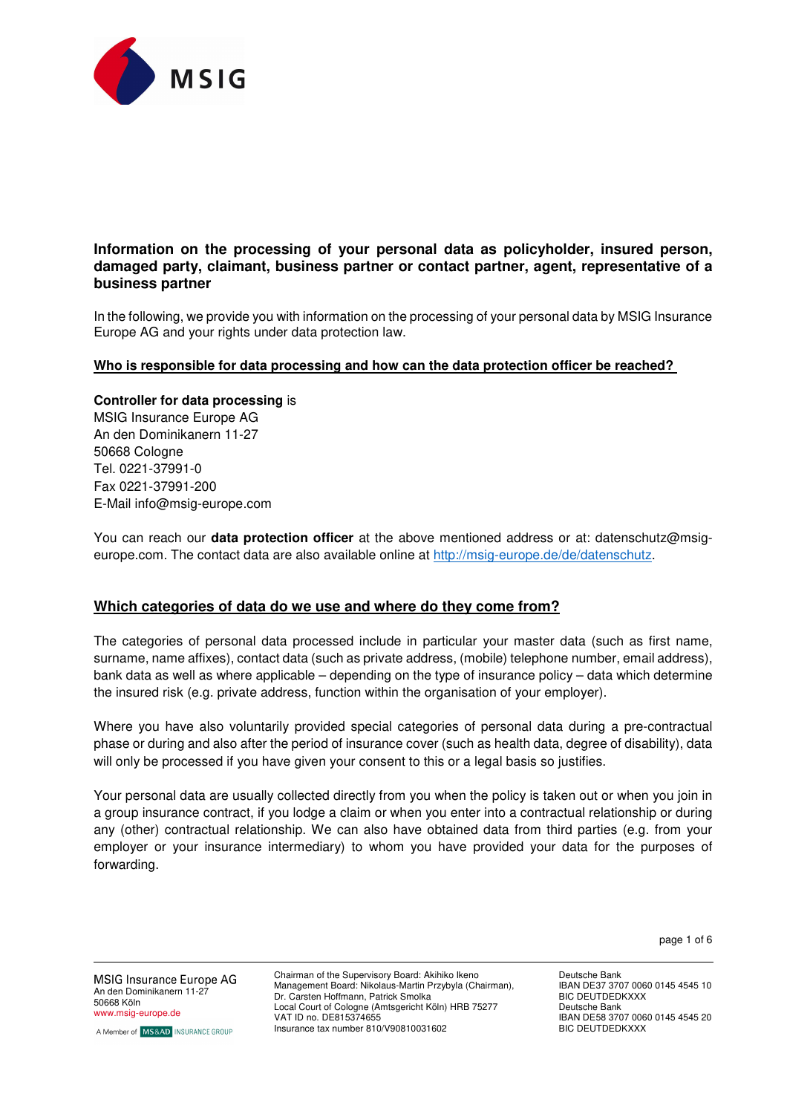

# **Information on the processing of your personal data as policyholder, insured person, damaged party, claimant, business partner or contact partner, agent, representative of a business partner**

In the following, we provide you with information on the processing of your personal data by MSIG Insurance Europe AG and your rights under data protection law.

## **Who is responsible for data processing and how can the data protection officer be reached?**

#### **Controller for data processing** is

MSIG Insurance Europe AG An den Dominikanern 11-27 50668 Cologne Tel. 0221-37991-0 Fax 0221-37991-200 E-Mail info@msig-europe.com

You can reach our **data protection officer** at the above mentioned address or at: datenschutz@msigeurope.com. The contact data are also available online at http://msig-europe.de/de/datenschutz.

## **Which categories of data do we use and where do they come from?**

The categories of personal data processed include in particular your master data (such as first name, surname, name affixes), contact data (such as private address, (mobile) telephone number, email address), bank data as well as where applicable – depending on the type of insurance policy – data which determine the insured risk (e.g. private address, function within the organisation of your employer).

Where you have also voluntarily provided special categories of personal data during a pre-contractual phase or during and also after the period of insurance cover (such as health data, degree of disability), data will only be processed if you have given your consent to this or a legal basis so justifies.

Your personal data are usually collected directly from you when the policy is taken out or when you join in a group insurance contract, if you lodge a claim or when you enter into a contractual relationship or during any (other) contractual relationship. We can also have obtained data from third parties (e.g. from your employer or your insurance intermediary) to whom you have provided your data for the purposes of forwarding.

page 1 of 6

MSIG Insurance Europe AG An den Dominikanern 11-27 50668 Köln www.msig-europe.de

A Member of MS&AD INSURANCE GROUP

Chairman of the Supervisory Board: Akihiko Ikeno Management Board: Nikolaus-Martin Przybyla (Chairman), Dr. Carsten Hoffmann, Patrick Smolka Local Court of Cologne (Amtsgericht Köln) HRB 75277 VAT ID no. DE815374655 Insurance tax number 810/V90810031602

Deutsche Bank IBAN DE37 3707 0060 0145 4545 10 **BIC DEUTDEDKXXX** Deutsche Bank IBAN DE58 3707 0060 0145 4545 20 **BIC DEUTDEDKXXX**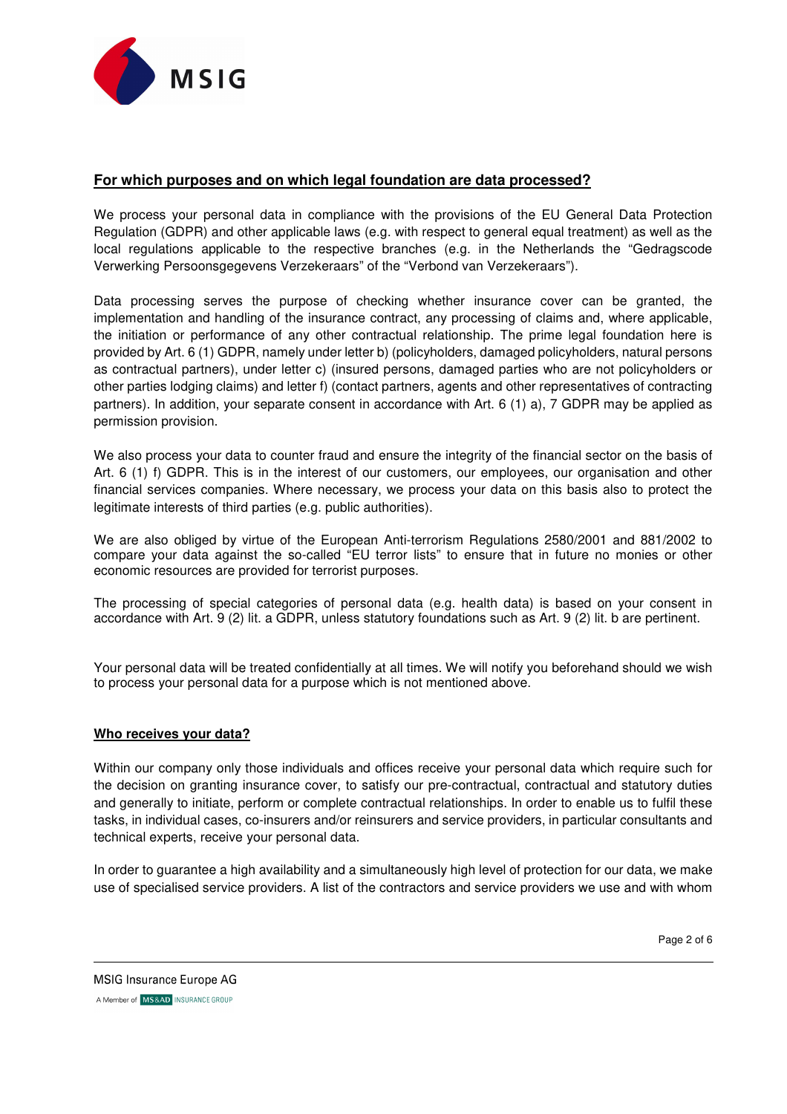

# **For which purposes and on which legal foundation are data processed?**

We process your personal data in compliance with the provisions of the EU General Data Protection Regulation (GDPR) and other applicable laws (e.g. with respect to general equal treatment) as well as the local regulations applicable to the respective branches (e.g. in the Netherlands the "Gedragscode Verwerking Persoonsgegevens Verzekeraars" of the "Verbond van Verzekeraars").

Data processing serves the purpose of checking whether insurance cover can be granted, the implementation and handling of the insurance contract, any processing of claims and, where applicable, the initiation or performance of any other contractual relationship. The prime legal foundation here is provided by Art. 6 (1) GDPR, namely under letter b) (policyholders, damaged policyholders, natural persons as contractual partners), under letter c) (insured persons, damaged parties who are not policyholders or other parties lodging claims) and letter f) (contact partners, agents and other representatives of contracting partners). In addition, your separate consent in accordance with Art. 6 (1) a), 7 GDPR may be applied as permission provision.

We also process your data to counter fraud and ensure the integrity of the financial sector on the basis of Art. 6 (1) f) GDPR. This is in the interest of our customers, our employees, our organisation and other financial services companies. Where necessary, we process your data on this basis also to protect the legitimate interests of third parties (e.g. public authorities).

We are also obliged by virtue of the European Anti-terrorism Regulations 2580/2001 and 881/2002 to compare your data against the so-called "EU terror lists" to ensure that in future no monies or other economic resources are provided for terrorist purposes.

The processing of special categories of personal data (e.g. health data) is based on your consent in accordance with Art. 9 (2) lit. a GDPR, unless statutory foundations such as Art. 9 (2) lit. b are pertinent.

Your personal data will be treated confidentially at all times. We will notify you beforehand should we wish to process your personal data for a purpose which is not mentioned above.

## **Who receives your data?**

Within our company only those individuals and offices receive your personal data which require such for the decision on granting insurance cover, to satisfy our pre-contractual, contractual and statutory duties and generally to initiate, perform or complete contractual relationships. In order to enable us to fulfil these tasks, in individual cases, co-insurers and/or reinsurers and service providers, in particular consultants and technical experts, receive your personal data.

In order to guarantee a high availability and a simultaneously high level of protection for our data, we make use of specialised service providers. A list of the contractors and service providers we use and with whom

Page 2 of 6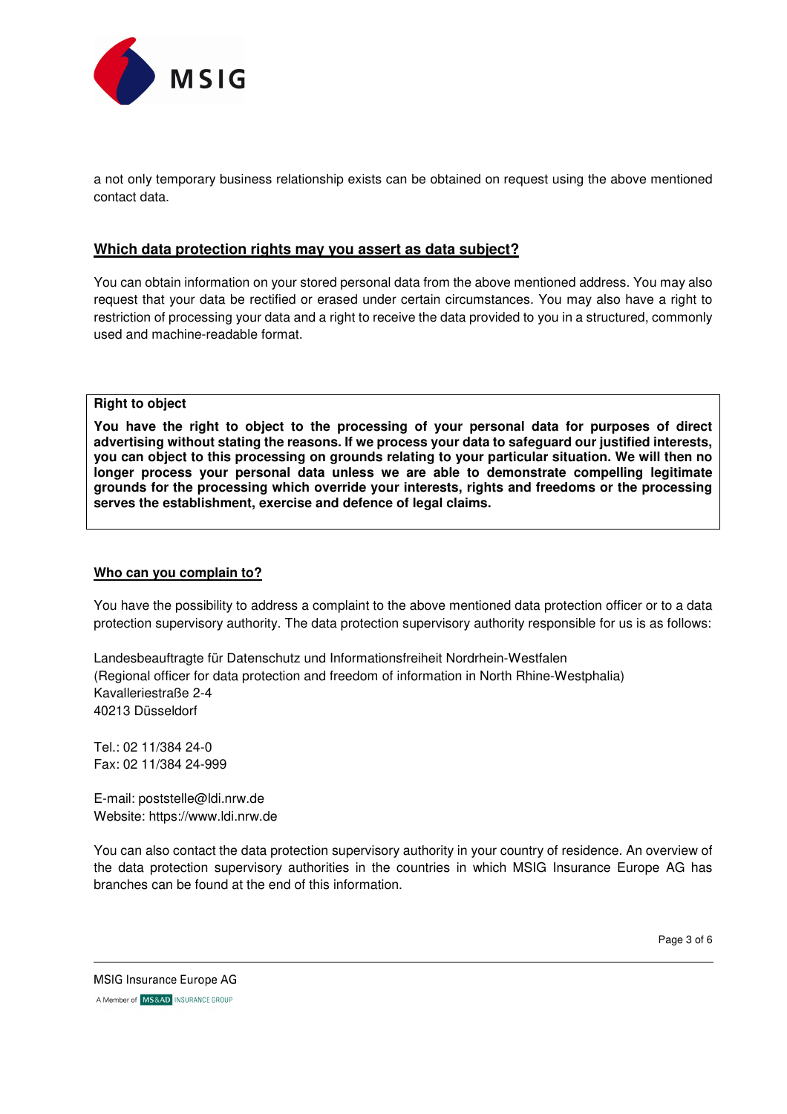

a not only temporary business relationship exists can be obtained on request using the above mentioned contact data.

# **Which data protection rights may you assert as data subject?**

You can obtain information on your stored personal data from the above mentioned address. You may also request that your data be rectified or erased under certain circumstances. You may also have a right to restriction of processing your data and a right to receive the data provided to you in a structured, commonly used and machine-readable format.

**Right to object** 

**You have the right to object to the processing of your personal data for purposes of direct advertising without stating the reasons. If we process your data to safeguard our justified interests, you can object to this processing on grounds relating to your particular situation. We will then no longer process your personal data unless we are able to demonstrate compelling legitimate grounds for the processing which override your interests, rights and freedoms or the processing serves the establishment, exercise and defence of legal claims.** 

#### **Who can you complain to?**

You have the possibility to address a complaint to the above mentioned data protection officer or to a data protection supervisory authority. The data protection supervisory authority responsible for us is as follows:

Landesbeauftragte für Datenschutz und Informationsfreiheit Nordrhein-Westfalen (Regional officer for data protection and freedom of information in North Rhine-Westphalia) Kavalleriestraße 2-4 40213 Düsseldorf

Tel.: 02 11/384 24-0 Fax: 02 11/384 24-999

E-mail: poststelle@ldi.nrw.de Website: https://www.ldi.nrw.de

You can also contact the data protection supervisory authority in your country of residence. An overview of the data protection supervisory authorities in the countries in which MSIG Insurance Europe AG has branches can be found at the end of this information.

Page 3 of 6

MSIG Insurance Europe AG A Member of MS&AD INSURANCE GROUP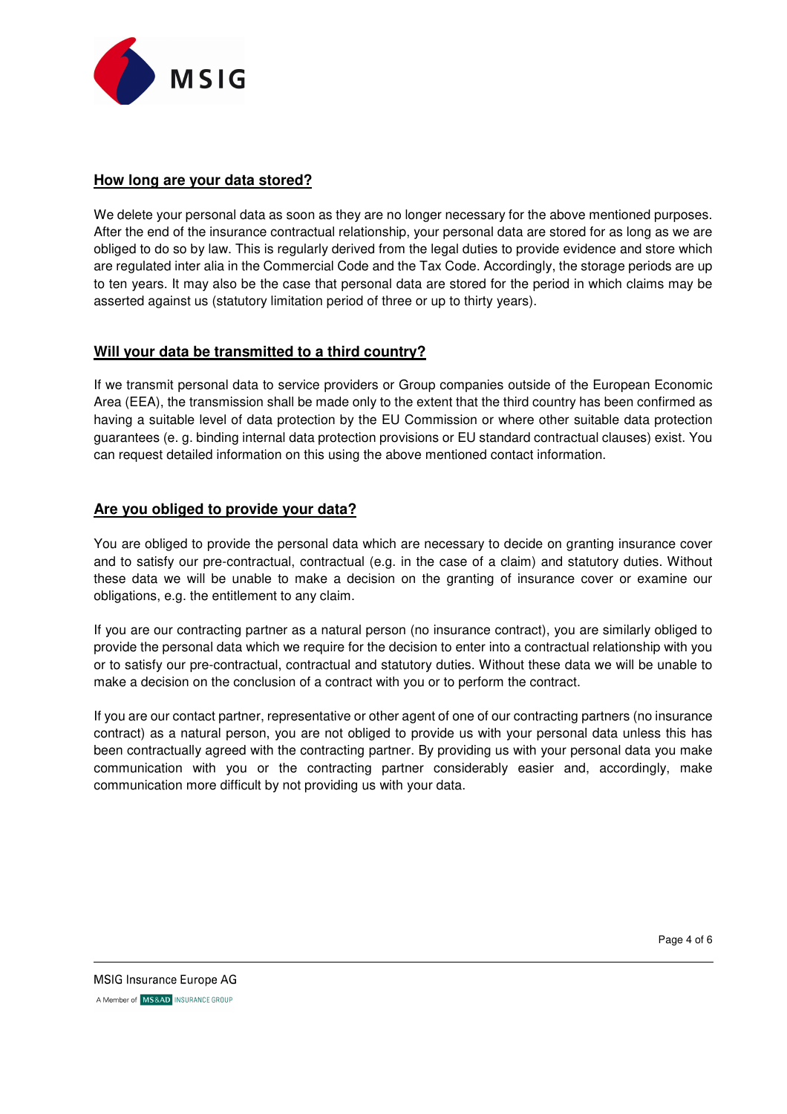

# **How long are your data stored?**

We delete your personal data as soon as they are no longer necessary for the above mentioned purposes. After the end of the insurance contractual relationship, your personal data are stored for as long as we are obliged to do so by law. This is regularly derived from the legal duties to provide evidence and store which are regulated inter alia in the Commercial Code and the Tax Code. Accordingly, the storage periods are up to ten years. It may also be the case that personal data are stored for the period in which claims may be asserted against us (statutory limitation period of three or up to thirty years).

# **Will your data be transmitted to a third country?**

If we transmit personal data to service providers or Group companies outside of the European Economic Area (EEA), the transmission shall be made only to the extent that the third country has been confirmed as having a suitable level of data protection by the EU Commission or where other suitable data protection guarantees (e. g. binding internal data protection provisions or EU standard contractual clauses) exist. You can request detailed information on this using the above mentioned contact information.

# **Are you obliged to provide your data?**

You are obliged to provide the personal data which are necessary to decide on granting insurance cover and to satisfy our pre-contractual, contractual (e.g. in the case of a claim) and statutory duties. Without these data we will be unable to make a decision on the granting of insurance cover or examine our obligations, e.g. the entitlement to any claim.

If you are our contracting partner as a natural person (no insurance contract), you are similarly obliged to provide the personal data which we require for the decision to enter into a contractual relationship with you or to satisfy our pre-contractual, contractual and statutory duties. Without these data we will be unable to make a decision on the conclusion of a contract with you or to perform the contract.

If you are our contact partner, representative or other agent of one of our contracting partners (no insurance contract) as a natural person, you are not obliged to provide us with your personal data unless this has been contractually agreed with the contracting partner. By providing us with your personal data you make communication with you or the contracting partner considerably easier and, accordingly, make communication more difficult by not providing us with your data.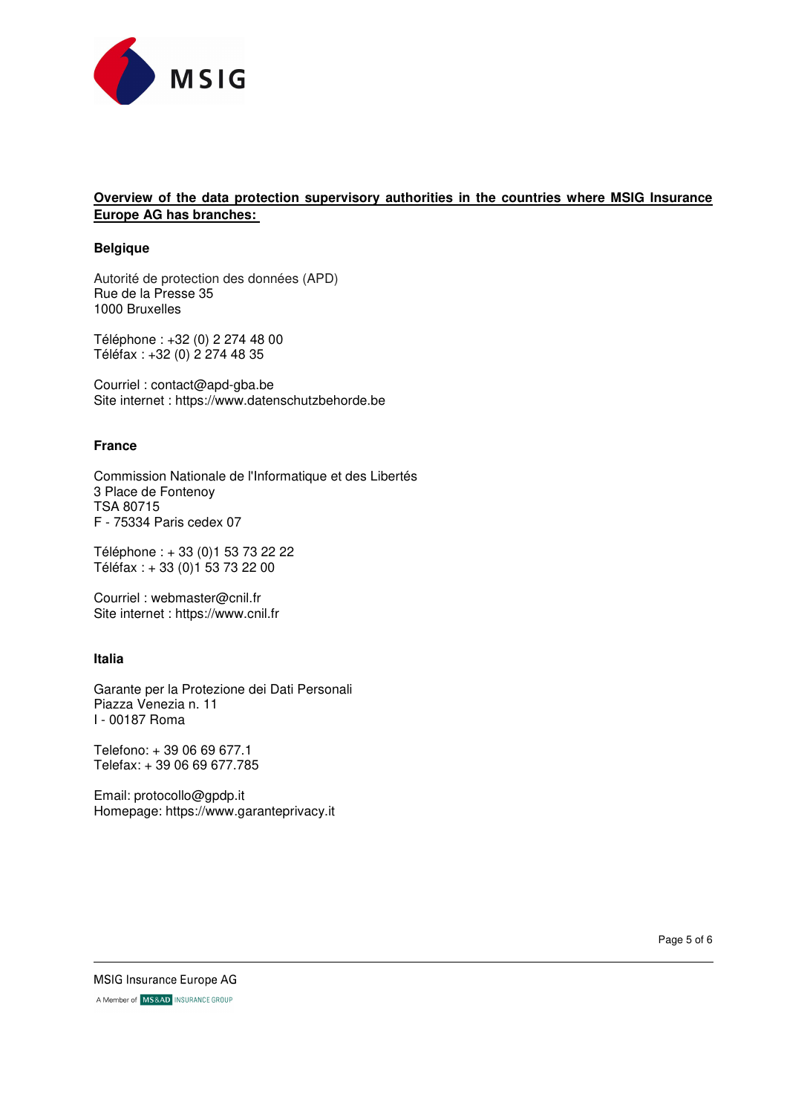

# **Overview of the data protection supervisory authorities in the countries where MSIG Insurance Europe AG has branches:**

#### **Belgique**

Autorité de protection des données (APD) Rue de la Presse 35 1000 Bruxelles

Téléphone : +32 (0) 2 274 48 00 Téléfax : +32 (0) 2 274 48 35

Courriel : contact@apd-gba.be Site internet : https://www.datenschutzbehorde.be

#### **France**

Commission Nationale de l'Informatique et des Libertés 3 Place de Fontenoy TSA 80715 F - 75334 Paris cedex 07

Téléphone : + 33 (0)1 53 73 22 22 Téléfax : + 33 (0)1 53 73 22 00

Courriel : webmaster@cnil.fr Site internet : https://www.cnil.fr

## **Italia**

Garante per la Protezione dei Dati Personali Piazza Venezia n. 11 I - 00187 Roma

Telefono: + 39 06 69 677.1 Telefax: + 39 06 69 677.785

Email: protocollo@gpdp.it Homepage: https://www.garanteprivacy.it